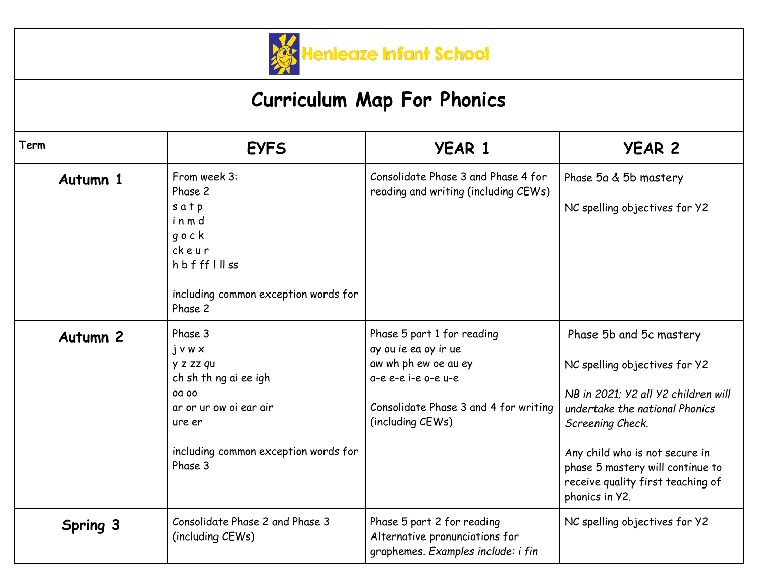

## **Curriculum Map For Phonics**

| Term            | <b>EYFS</b>                                                                                                                                                  | <b>YEAR 1</b>                                                                                                                                                  | <b>YEAR 2</b>                                                                                                                                                                                                                                                                      |
|-----------------|--------------------------------------------------------------------------------------------------------------------------------------------------------------|----------------------------------------------------------------------------------------------------------------------------------------------------------------|------------------------------------------------------------------------------------------------------------------------------------------------------------------------------------------------------------------------------------------------------------------------------------|
| Autumn 1        | From week 3:<br>Phase 2<br>satp<br>inmd<br>gock<br>ckeur<br>hbffflllss<br>including common exception words for<br>Phase 2                                    | Consolidate Phase 3 and Phase 4 for<br>reading and writing (including CEWs)                                                                                    | Phase 5a & 5b mastery<br>NC spelling objectives for Y2                                                                                                                                                                                                                             |
| <b>Autumn 2</b> | Phase 3<br>$j$ v w $x$<br>y z zz qu<br>ch sh th ng ai ee igh<br>00 00<br>ar or ur ow oi ear air<br>ure er<br>including common exception words for<br>Phase 3 | Phase 5 part 1 for reading<br>ay ou ie ea oy ir ue<br>aw wh ph ew oe au ey<br>a-e e-e i-e o-e u-e<br>Consolidate Phase 3 and 4 for writing<br>(including CEWs) | Phase 5b and 5c mastery<br>NC spelling objectives for Y2<br>NB in 2021; Y2 all Y2 children will<br>undertake the national Phonics<br>Screening Check.<br>Any child who is not secure in<br>phase 5 mastery will continue to<br>receive quality first teaching of<br>phonics in Y2. |
| Spring 3        | Consolidate Phase 2 and Phase 3<br>(including CEWs)                                                                                                          | Phase 5 part 2 for reading<br>Alternative pronunciations for<br>graphemes. Examples include: i fin                                                             | NC spelling objectives for Y2                                                                                                                                                                                                                                                      |